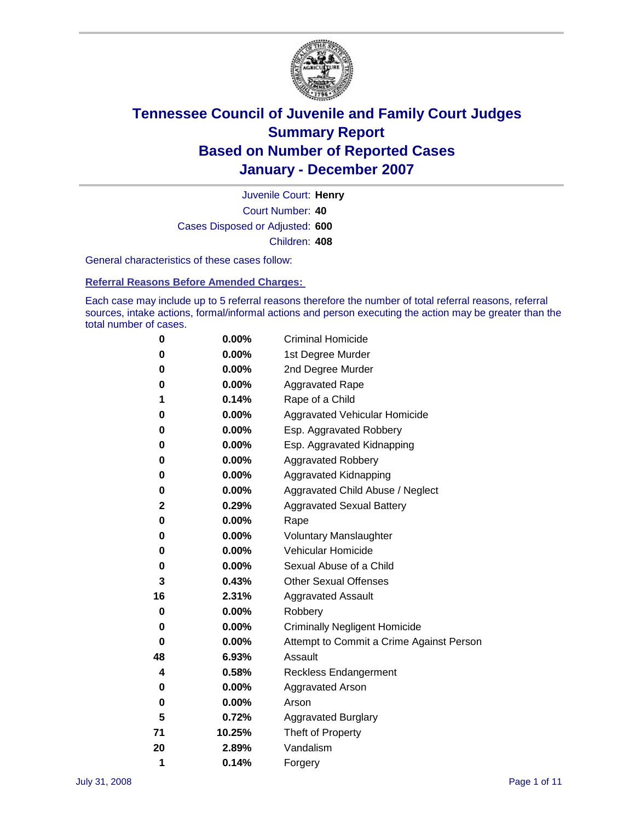

Court Number: **40** Juvenile Court: **Henry** Cases Disposed or Adjusted: **600** Children: **408**

General characteristics of these cases follow:

**Referral Reasons Before Amended Charges:** 

Each case may include up to 5 referral reasons therefore the number of total referral reasons, referral sources, intake actions, formal/informal actions and person executing the action may be greater than the total number of cases.

| 0  | 0.00%    | <b>Criminal Homicide</b>                 |
|----|----------|------------------------------------------|
| 0  | 0.00%    | 1st Degree Murder                        |
| 0  | $0.00\%$ | 2nd Degree Murder                        |
| 0  | 0.00%    | <b>Aggravated Rape</b>                   |
| 1  | 0.14%    | Rape of a Child                          |
| 0  | 0.00%    | Aggravated Vehicular Homicide            |
| 0  | 0.00%    | Esp. Aggravated Robbery                  |
| 0  | 0.00%    | Esp. Aggravated Kidnapping               |
| 0  | 0.00%    | <b>Aggravated Robbery</b>                |
| 0  | 0.00%    | Aggravated Kidnapping                    |
| 0  | 0.00%    | Aggravated Child Abuse / Neglect         |
| 2  | 0.29%    | <b>Aggravated Sexual Battery</b>         |
| 0  | 0.00%    | Rape                                     |
| 0  | 0.00%    | <b>Voluntary Manslaughter</b>            |
| 0  | 0.00%    | Vehicular Homicide                       |
| 0  | 0.00%    | Sexual Abuse of a Child                  |
| 3  | 0.43%    | <b>Other Sexual Offenses</b>             |
| 16 | 2.31%    | <b>Aggravated Assault</b>                |
| 0  | $0.00\%$ | Robbery                                  |
| 0  | 0.00%    | <b>Criminally Negligent Homicide</b>     |
| 0  | 0.00%    | Attempt to Commit a Crime Against Person |
| 48 | 6.93%    | Assault                                  |
| 4  | 0.58%    | <b>Reckless Endangerment</b>             |
| 0  | 0.00%    | <b>Aggravated Arson</b>                  |
| 0  | 0.00%    | Arson                                    |
| 5  | 0.72%    | <b>Aggravated Burglary</b>               |
| 71 | 10.25%   | Theft of Property                        |
| 20 | 2.89%    | Vandalism                                |
| 1  | 0.14%    | Forgery                                  |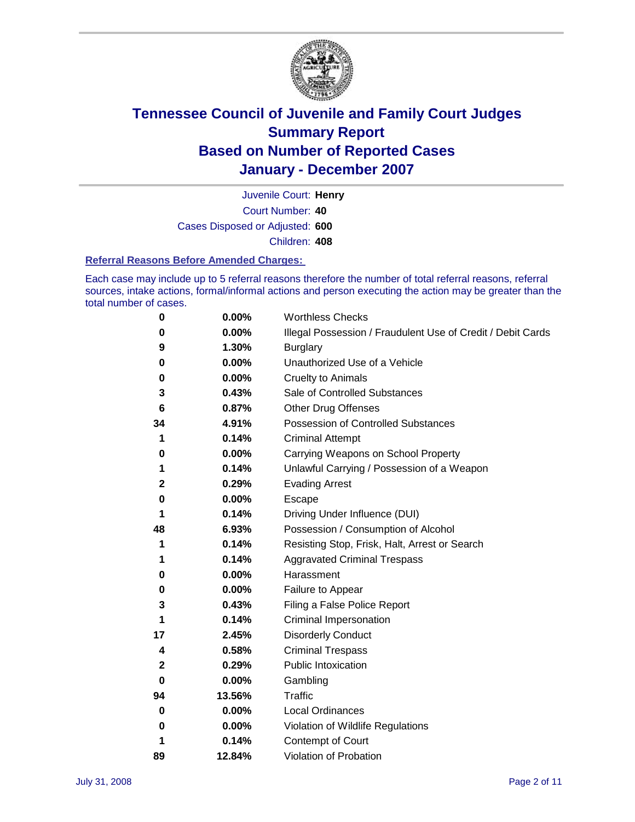

Court Number: **40** Juvenile Court: **Henry** Cases Disposed or Adjusted: **600** Children: **408**

#### **Referral Reasons Before Amended Charges:**

Each case may include up to 5 referral reasons therefore the number of total referral reasons, referral sources, intake actions, formal/informal actions and person executing the action may be greater than the total number of cases.

| 0  | 0.00%  | <b>Worthless Checks</b>                                     |
|----|--------|-------------------------------------------------------------|
| 0  | 0.00%  | Illegal Possession / Fraudulent Use of Credit / Debit Cards |
| 9  | 1.30%  | <b>Burglary</b>                                             |
| 0  | 0.00%  | Unauthorized Use of a Vehicle                               |
| 0  | 0.00%  | <b>Cruelty to Animals</b>                                   |
| 3  | 0.43%  | Sale of Controlled Substances                               |
| 6  | 0.87%  | <b>Other Drug Offenses</b>                                  |
| 34 | 4.91%  | Possession of Controlled Substances                         |
| 1  | 0.14%  | <b>Criminal Attempt</b>                                     |
| 0  | 0.00%  | Carrying Weapons on School Property                         |
| 1  | 0.14%  | Unlawful Carrying / Possession of a Weapon                  |
| 2  | 0.29%  | <b>Evading Arrest</b>                                       |
| 0  | 0.00%  | Escape                                                      |
| 1  | 0.14%  | Driving Under Influence (DUI)                               |
| 48 | 6.93%  | Possession / Consumption of Alcohol                         |
| 1  | 0.14%  | Resisting Stop, Frisk, Halt, Arrest or Search               |
| 1  | 0.14%  | <b>Aggravated Criminal Trespass</b>                         |
| 0  | 0.00%  | Harassment                                                  |
| 0  | 0.00%  | Failure to Appear                                           |
| 3  | 0.43%  | Filing a False Police Report                                |
| 1  | 0.14%  | Criminal Impersonation                                      |
| 17 | 2.45%  | <b>Disorderly Conduct</b>                                   |
| 4  | 0.58%  | <b>Criminal Trespass</b>                                    |
| 2  | 0.29%  | <b>Public Intoxication</b>                                  |
| 0  | 0.00%  | Gambling                                                    |
| 94 | 13.56% | Traffic                                                     |
| 0  | 0.00%  | <b>Local Ordinances</b>                                     |
| 0  | 0.00%  | Violation of Wildlife Regulations                           |
| 1  | 0.14%  | Contempt of Court                                           |
| 89 | 12.84% | Violation of Probation                                      |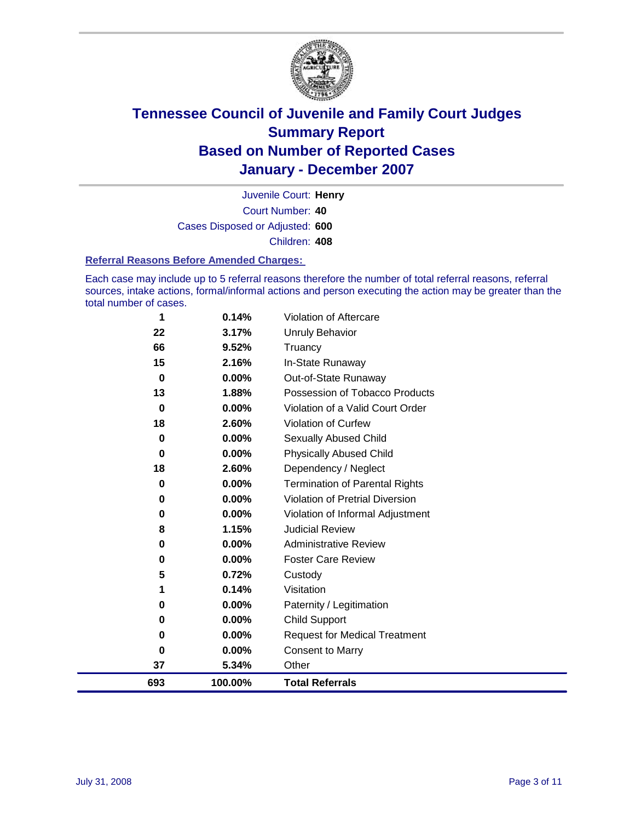

Court Number: **40** Juvenile Court: **Henry** Cases Disposed or Adjusted: **600** Children: **408**

#### **Referral Reasons Before Amended Charges:**

Each case may include up to 5 referral reasons therefore the number of total referral reasons, referral sources, intake actions, formal/informal actions and person executing the action may be greater than the total number of cases.

| 0       | 0.00%          | Paternity / Legitimation                               |
|---------|----------------|--------------------------------------------------------|
|         |                |                                                        |
| 1       | 0.14%          | Visitation                                             |
| 5       | 0.72%          | Custody                                                |
| 0       | 0.00%          | <b>Foster Care Review</b>                              |
| 0       | 0.00%          | <b>Administrative Review</b>                           |
| 8       | 1.15%          | <b>Judicial Review</b>                                 |
| 0       | 0.00%          | Violation of Informal Adjustment                       |
| 0       | 0.00%          | <b>Violation of Pretrial Diversion</b>                 |
| 0       | 0.00%          | <b>Termination of Parental Rights</b>                  |
| 18      | 2.60%          | Dependency / Neglect                                   |
| 0       | 0.00%          | <b>Physically Abused Child</b>                         |
| 0       | 0.00%          | Sexually Abused Child                                  |
| 18      | 2.60%          | Violation of Curfew                                    |
| 0       | 0.00%          | Violation of a Valid Court Order                       |
| 0<br>13 | 0.00%<br>1.88% | Out-of-State Runaway<br>Possession of Tobacco Products |
| 15      | 2.16%          | In-State Runaway                                       |
| 66      | 9.52%          | Truancy                                                |
| 22      | 3.17%          | <b>Unruly Behavior</b>                                 |
|         |                | Violation of Aftercare                                 |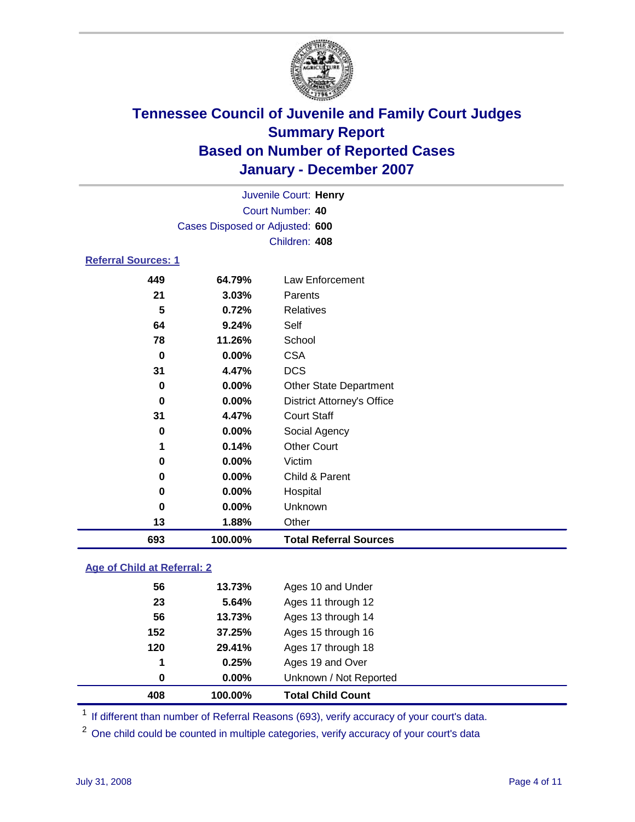

| Juvenile Court: Henry           |  |
|---------------------------------|--|
| Court Number: 40                |  |
| Cases Disposed or Adjusted: 600 |  |
| Children: 408                   |  |
|                                 |  |

### **Referral Sources: 1**

| 693      | 100.00% | <b>Total Referral Sources</b>     |
|----------|---------|-----------------------------------|
| 13       | 1.88%   | Other                             |
| $\bf{0}$ | 0.00%   | Unknown                           |
| 0        | 0.00%   | Hospital                          |
| 0        | 0.00%   | Child & Parent                    |
| 0        | 0.00%   | Victim                            |
| 1        | 0.14%   | <b>Other Court</b>                |
| 0        | 0.00%   | Social Agency                     |
| 31       | 4.47%   | <b>Court Staff</b>                |
| 0        | 0.00%   | <b>District Attorney's Office</b> |
| 0        | 0.00%   | <b>Other State Department</b>     |
| 31       | 4.47%   | <b>DCS</b>                        |
| 0        | 0.00%   | <b>CSA</b>                        |
| 78       | 11.26%  | School                            |
| 64       | 9.24%   | Self                              |
| 5        | 0.72%   | Relatives                         |
| 21       | 3.03%   | Parents                           |
| 449      | 64.79%  | Law Enforcement                   |

### **Age of Child at Referral: 2**

| 408 | 100.00% | <b>Total Child Count</b> |
|-----|---------|--------------------------|
| 0   | 0.00%   | Unknown / Not Reported   |
| 1   | 0.25%   | Ages 19 and Over         |
| 120 | 29.41%  | Ages 17 through 18       |
| 152 | 37.25%  | Ages 15 through 16       |
| 56  | 13.73%  | Ages 13 through 14       |
| 23  | 5.64%   | Ages 11 through 12       |
| 56  | 13.73%  | Ages 10 and Under        |
|     |         |                          |

<sup>1</sup> If different than number of Referral Reasons (693), verify accuracy of your court's data.

One child could be counted in multiple categories, verify accuracy of your court's data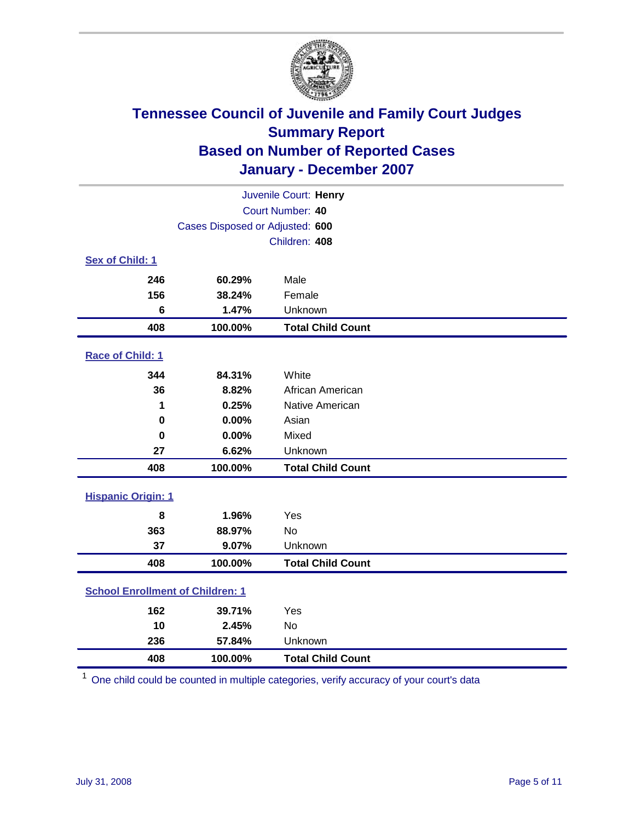

| Juvenile Court: Henry                   |                                 |                          |  |
|-----------------------------------------|---------------------------------|--------------------------|--|
| Court Number: 40                        |                                 |                          |  |
|                                         | Cases Disposed or Adjusted: 600 |                          |  |
|                                         |                                 | Children: 408            |  |
| Sex of Child: 1                         |                                 |                          |  |
| 246                                     | 60.29%                          | Male                     |  |
| 156                                     | 38.24%                          | Female                   |  |
| 6                                       | 1.47%                           | Unknown                  |  |
| 408                                     | 100.00%                         | <b>Total Child Count</b> |  |
| <b>Race of Child: 1</b>                 |                                 |                          |  |
| 344                                     | 84.31%                          | White                    |  |
| 36                                      | 8.82%                           | African American         |  |
| 1                                       | 0.25%                           | Native American          |  |
| 0                                       | 0.00%                           | Asian                    |  |
| $\bf{0}$                                | 0.00%                           | Mixed                    |  |
| 27                                      | 6.62%                           | Unknown                  |  |
| 408                                     | 100.00%                         | <b>Total Child Count</b> |  |
| <b>Hispanic Origin: 1</b>               |                                 |                          |  |
| 8                                       | 1.96%                           | Yes                      |  |
| 363                                     | 88.97%                          | <b>No</b>                |  |
| 37                                      | 9.07%                           | Unknown                  |  |
| 408                                     | 100.00%                         | <b>Total Child Count</b> |  |
| <b>School Enrollment of Children: 1</b> |                                 |                          |  |
| 162                                     | 39.71%                          | Yes                      |  |
| 10                                      | 2.45%                           | No                       |  |
| 236                                     | 57.84%                          | Unknown                  |  |
| 408                                     | 100.00%                         | <b>Total Child Count</b> |  |

One child could be counted in multiple categories, verify accuracy of your court's data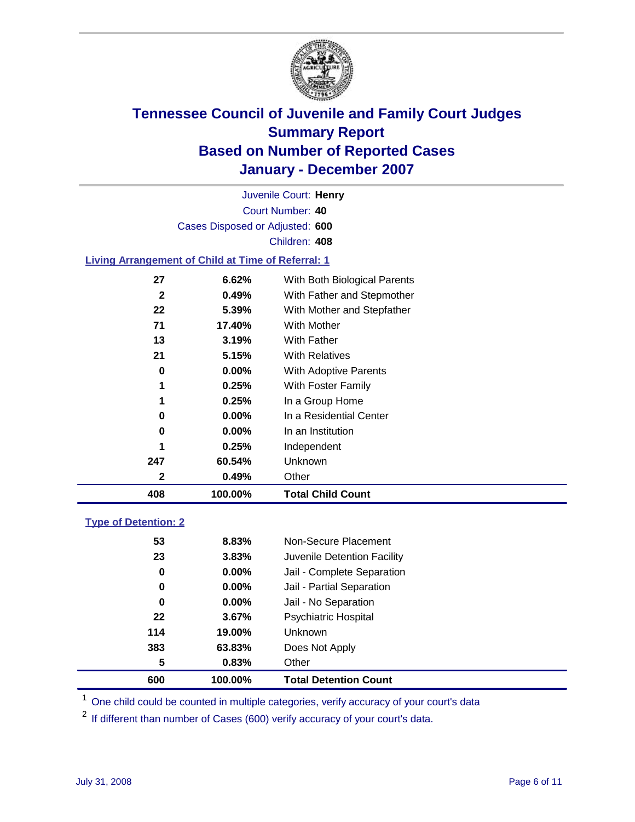

Court Number: **40** Juvenile Court: **Henry** Cases Disposed or Adjusted: **600** Children: **408**

#### **Living Arrangement of Child at Time of Referral: 1**

| $0.00\%$<br>0.25%<br>0.25%<br>$0.00\%$<br>$0.00\%$<br>0.25%<br>60.54%<br>0.49% | With Adoptive Parents<br>With Foster Family<br>In a Group Home<br>In a Residential Center<br>In an Institution<br>Independent<br>Unknown<br>Other |  |
|--------------------------------------------------------------------------------|---------------------------------------------------------------------------------------------------------------------------------------------------|--|
|                                                                                |                                                                                                                                                   |  |
|                                                                                |                                                                                                                                                   |  |
|                                                                                |                                                                                                                                                   |  |
|                                                                                |                                                                                                                                                   |  |
|                                                                                |                                                                                                                                                   |  |
|                                                                                |                                                                                                                                                   |  |
|                                                                                |                                                                                                                                                   |  |
|                                                                                |                                                                                                                                                   |  |
| 5.15%                                                                          | <b>With Relatives</b>                                                                                                                             |  |
| 3.19%                                                                          | With Father                                                                                                                                       |  |
| 17.40%                                                                         | With Mother                                                                                                                                       |  |
| 5.39%                                                                          | With Mother and Stepfather                                                                                                                        |  |
| 0.49%                                                                          | With Father and Stepmother                                                                                                                        |  |
| 6.62%                                                                          | With Both Biological Parents                                                                                                                      |  |
|                                                                                |                                                                                                                                                   |  |

#### **Type of Detention: 2**

| 600 | 100.00%  | <b>Total Detention Count</b> |  |
|-----|----------|------------------------------|--|
| 5   | 0.83%    | Other                        |  |
| 383 | 63.83%   | Does Not Apply               |  |
| 114 | 19.00%   | <b>Unknown</b>               |  |
| 22  | 3.67%    | <b>Psychiatric Hospital</b>  |  |
| 0   | $0.00\%$ | Jail - No Separation         |  |
| 0   | $0.00\%$ | Jail - Partial Separation    |  |
| 0   | $0.00\%$ | Jail - Complete Separation   |  |
| 23  | 3.83%    | Juvenile Detention Facility  |  |
| 53  | 8.83%    | Non-Secure Placement         |  |
|     |          |                              |  |

<sup>1</sup> One child could be counted in multiple categories, verify accuracy of your court's data

<sup>2</sup> If different than number of Cases (600) verify accuracy of your court's data.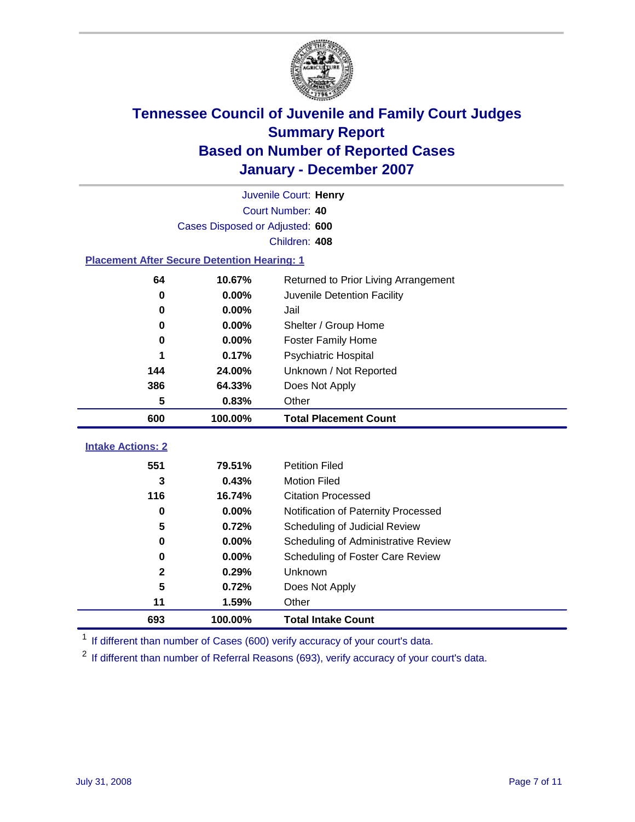

|                                                    |                                 | Juvenile Court: Henry                |
|----------------------------------------------------|---------------------------------|--------------------------------------|
|                                                    |                                 | Court Number: 40                     |
|                                                    | Cases Disposed or Adjusted: 600 |                                      |
|                                                    |                                 | Children: 408                        |
| <b>Placement After Secure Detention Hearing: 1</b> |                                 |                                      |
| 64                                                 | 10.67%                          | Returned to Prior Living Arrangement |
| 0                                                  | 0.00%                           | Juvenile Detention Facility          |
| $\bf{0}$                                           | 0.00%                           | Jail                                 |
| 0                                                  | 0.00%                           | Shelter / Group Home                 |
| $\bf{0}$                                           | 0.00%                           | <b>Foster Family Home</b>            |
| 1                                                  | 0.17%                           | Psychiatric Hospital                 |
| 144                                                | 24.00%                          | Unknown / Not Reported               |
| 386                                                | 64.33%                          | Does Not Apply                       |
| 5                                                  | 0.83%                           | Other                                |
| 600                                                | 100.00%                         | <b>Total Placement Count</b>         |
|                                                    |                                 |                                      |
| <b>Intake Actions: 2</b>                           |                                 |                                      |
| 551                                                | 79.51%                          | <b>Petition Filed</b>                |
| 3                                                  | 0.43%                           | <b>Motion Filed</b>                  |
| 116                                                | 16.74%                          | <b>Citation Processed</b>            |
| $\bf{0}$                                           | 0.00%                           | Notification of Paternity Processed  |
| 5                                                  | 0.72%                           | Scheduling of Judicial Review        |
| $\bf{0}$                                           | 0.00%                           | Scheduling of Administrative Review  |
| 0                                                  | 0.00%                           | Scheduling of Foster Care Review     |
| $\mathbf 2$                                        | 0.29%                           | Unknown                              |
| 5                                                  | 0.72%                           | Does Not Apply                       |
| 11                                                 | 1.59%                           | Other                                |
| 693                                                | 100.00%                         | <b>Total Intake Count</b>            |

<sup>1</sup> If different than number of Cases (600) verify accuracy of your court's data.

<sup>2</sup> If different than number of Referral Reasons (693), verify accuracy of your court's data.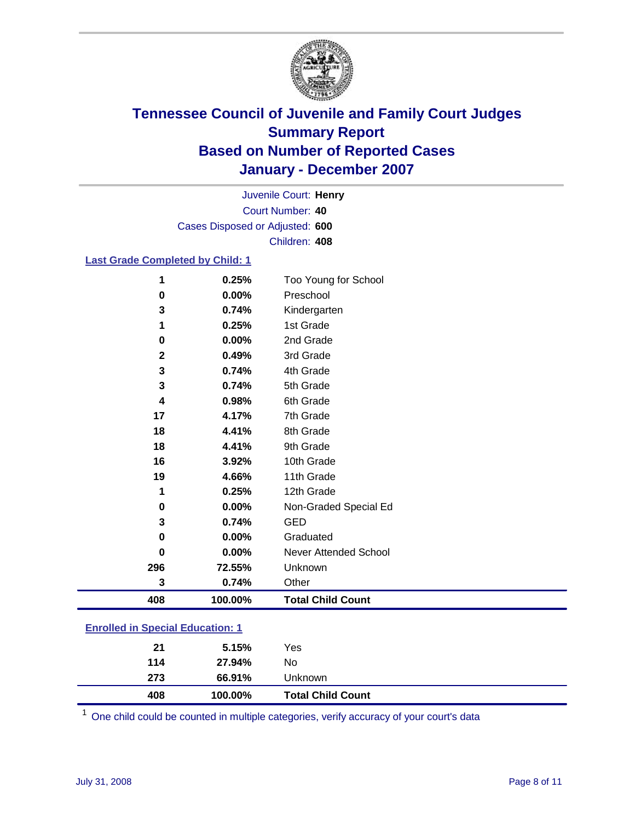

Court Number: **40** Juvenile Court: **Henry** Cases Disposed or Adjusted: **600** Children: **408**

### **Last Grade Completed by Child: 1**

| 408          | 100.00% | <b>Total Child Count</b> |
|--------------|---------|--------------------------|
| 3            | 0.74%   | Other                    |
| 296          | 72.55%  | Unknown                  |
| 0            | 0.00%   | Never Attended School    |
| 0            | 0.00%   | Graduated                |
| 3            | 0.74%   | <b>GED</b>               |
| 0            | 0.00%   | Non-Graded Special Ed    |
| 1            | 0.25%   | 12th Grade               |
| 19           | 4.66%   | 11th Grade               |
| 16           | 3.92%   | 10th Grade               |
| 18           | 4.41%   | 9th Grade                |
| 18           | 4.41%   | 8th Grade                |
| 17           | 4.17%   | 7th Grade                |
| 4            | 0.98%   | 6th Grade                |
| 3            | 0.74%   | 5th Grade                |
| 3            | 0.74%   | 4th Grade                |
| $\mathbf{2}$ | 0.49%   | 3rd Grade                |
| 0            | 0.00%   | 2nd Grade                |
| 1            | 0.25%   | 1st Grade                |
| 3            | 0.74%   | Kindergarten             |
| 0            | 0.00%   | Preschool                |
| 1            | 0.25%   | Too Young for School     |

### **Enrolled in Special Education: 1**

One child could be counted in multiple categories, verify accuracy of your court's data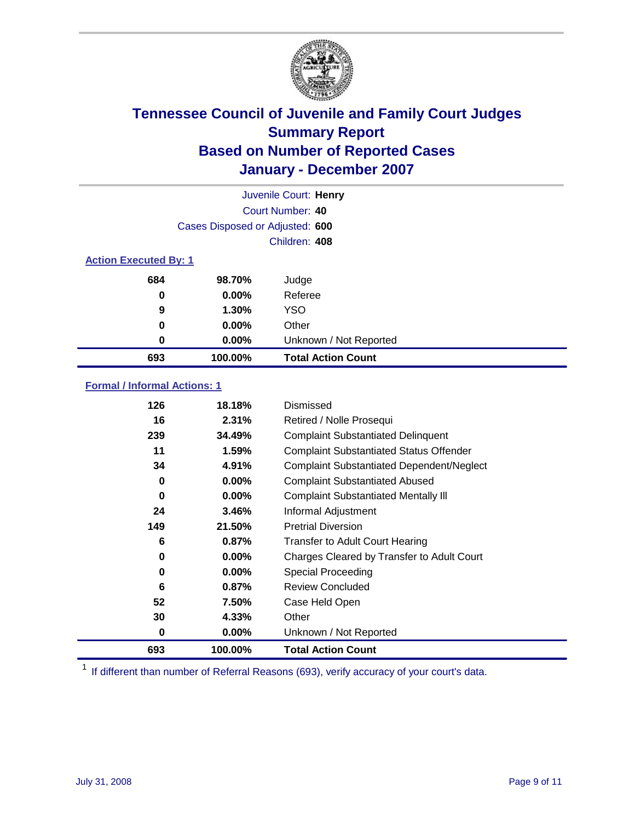

|                              |                                 | Juvenile Court: Henry     |
|------------------------------|---------------------------------|---------------------------|
|                              |                                 | Court Number: 40          |
|                              | Cases Disposed or Adjusted: 600 |                           |
|                              |                                 | Children: 408             |
| <b>Action Executed By: 1</b> |                                 |                           |
| 684                          | 98.70%                          | Judge                     |
| 0                            | $0.00\%$                        | Referee                   |
| 9                            | 1.30%                           | <b>YSO</b>                |
| 0                            | $0.00\%$                        | Other                     |
| 0                            | $0.00\%$                        | Unknown / Not Reported    |
| 693                          | 100.00%                         | <b>Total Action Count</b> |

### **Formal / Informal Actions: 1**

| 126 | 18.18%   | Dismissed                                        |
|-----|----------|--------------------------------------------------|
| 16  | 2.31%    | Retired / Nolle Prosequi                         |
| 239 | 34.49%   | <b>Complaint Substantiated Delinquent</b>        |
| 11  | 1.59%    | <b>Complaint Substantiated Status Offender</b>   |
| 34  | 4.91%    | <b>Complaint Substantiated Dependent/Neglect</b> |
| 0   | $0.00\%$ | <b>Complaint Substantiated Abused</b>            |
| 0   | $0.00\%$ | <b>Complaint Substantiated Mentally III</b>      |
| 24  | 3.46%    | Informal Adjustment                              |
| 149 | 21.50%   | <b>Pretrial Diversion</b>                        |
| 6   | 0.87%    | <b>Transfer to Adult Court Hearing</b>           |
| 0   | 0.00%    | Charges Cleared by Transfer to Adult Court       |
| 0   | $0.00\%$ | Special Proceeding                               |
| 6   | 0.87%    | <b>Review Concluded</b>                          |
| 52  | 7.50%    | Case Held Open                                   |
| 30  | 4.33%    | Other                                            |
| 0   | 0.00%    | Unknown / Not Reported                           |
| 693 | 100.00%  | <b>Total Action Count</b>                        |

<sup>1</sup> If different than number of Referral Reasons (693), verify accuracy of your court's data.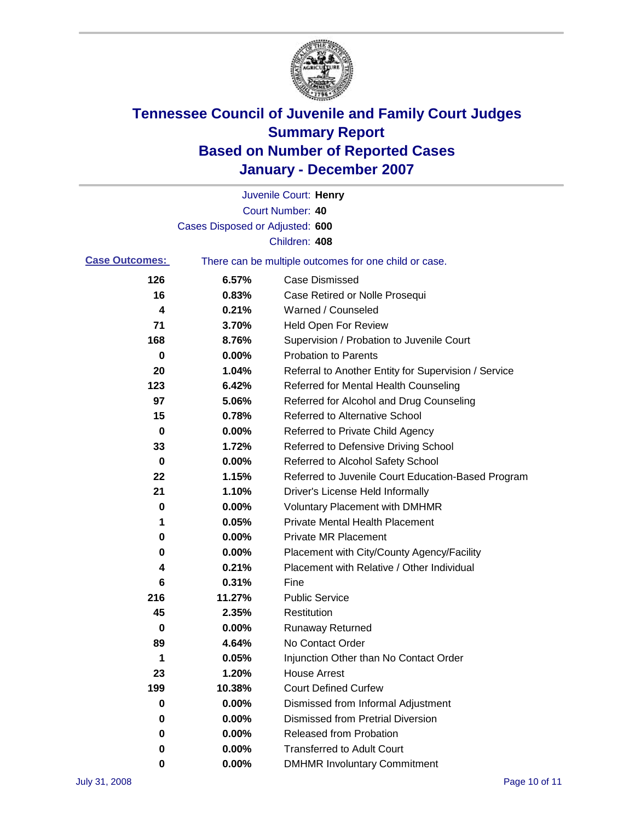

|                       |                                 | Juvenile Court: Henry                                 |
|-----------------------|---------------------------------|-------------------------------------------------------|
|                       |                                 | Court Number: 40                                      |
|                       | Cases Disposed or Adjusted: 600 |                                                       |
|                       |                                 | Children: 408                                         |
| <b>Case Outcomes:</b> |                                 | There can be multiple outcomes for one child or case. |
| 126                   | 6.57%                           | <b>Case Dismissed</b>                                 |
| 16                    | 0.83%                           | Case Retired or Nolle Prosequi                        |
| 4                     | 0.21%                           | Warned / Counseled                                    |
| 71                    | 3.70%                           | <b>Held Open For Review</b>                           |
| 168                   | 8.76%                           | Supervision / Probation to Juvenile Court             |
| 0                     | 0.00%                           | <b>Probation to Parents</b>                           |
| 20                    | 1.04%                           | Referral to Another Entity for Supervision / Service  |
| 123                   | 6.42%                           | Referred for Mental Health Counseling                 |
| 97                    | 5.06%                           | Referred for Alcohol and Drug Counseling              |
| 15                    | 0.78%                           | <b>Referred to Alternative School</b>                 |
| 0                     | 0.00%                           | Referred to Private Child Agency                      |
| 33                    | 1.72%                           | Referred to Defensive Driving School                  |
| 0                     | 0.00%                           | Referred to Alcohol Safety School                     |
| 22                    | 1.15%                           | Referred to Juvenile Court Education-Based Program    |
| 21                    | 1.10%                           | Driver's License Held Informally                      |
| 0                     | 0.00%                           | <b>Voluntary Placement with DMHMR</b>                 |
| 1                     | 0.05%                           | <b>Private Mental Health Placement</b>                |
| 0                     | 0.00%                           | Private MR Placement                                  |
| 0                     | 0.00%                           | Placement with City/County Agency/Facility            |
| 4                     | 0.21%                           | Placement with Relative / Other Individual            |
| 6                     | 0.31%                           | Fine                                                  |
| 216                   | 11.27%                          | <b>Public Service</b>                                 |
| 45                    | 2.35%                           | Restitution                                           |
| 0                     | 0.00%                           | <b>Runaway Returned</b>                               |
| 89                    | 4.64%                           | No Contact Order                                      |
| 1                     | 0.05%                           | Injunction Other than No Contact Order                |
| 23                    | 1.20%                           | <b>House Arrest</b>                                   |
| 199                   | 10.38%                          | <b>Court Defined Curfew</b>                           |
| $\bf{0}$              | 0.00%                           | Dismissed from Informal Adjustment                    |
| $\mathbf 0$           | 0.00%                           | <b>Dismissed from Pretrial Diversion</b>              |
| 0                     | 0.00%                           | Released from Probation                               |
| 0                     | 0.00%                           | <b>Transferred to Adult Court</b>                     |
| 0                     | $0.00\%$                        | <b>DMHMR Involuntary Commitment</b>                   |